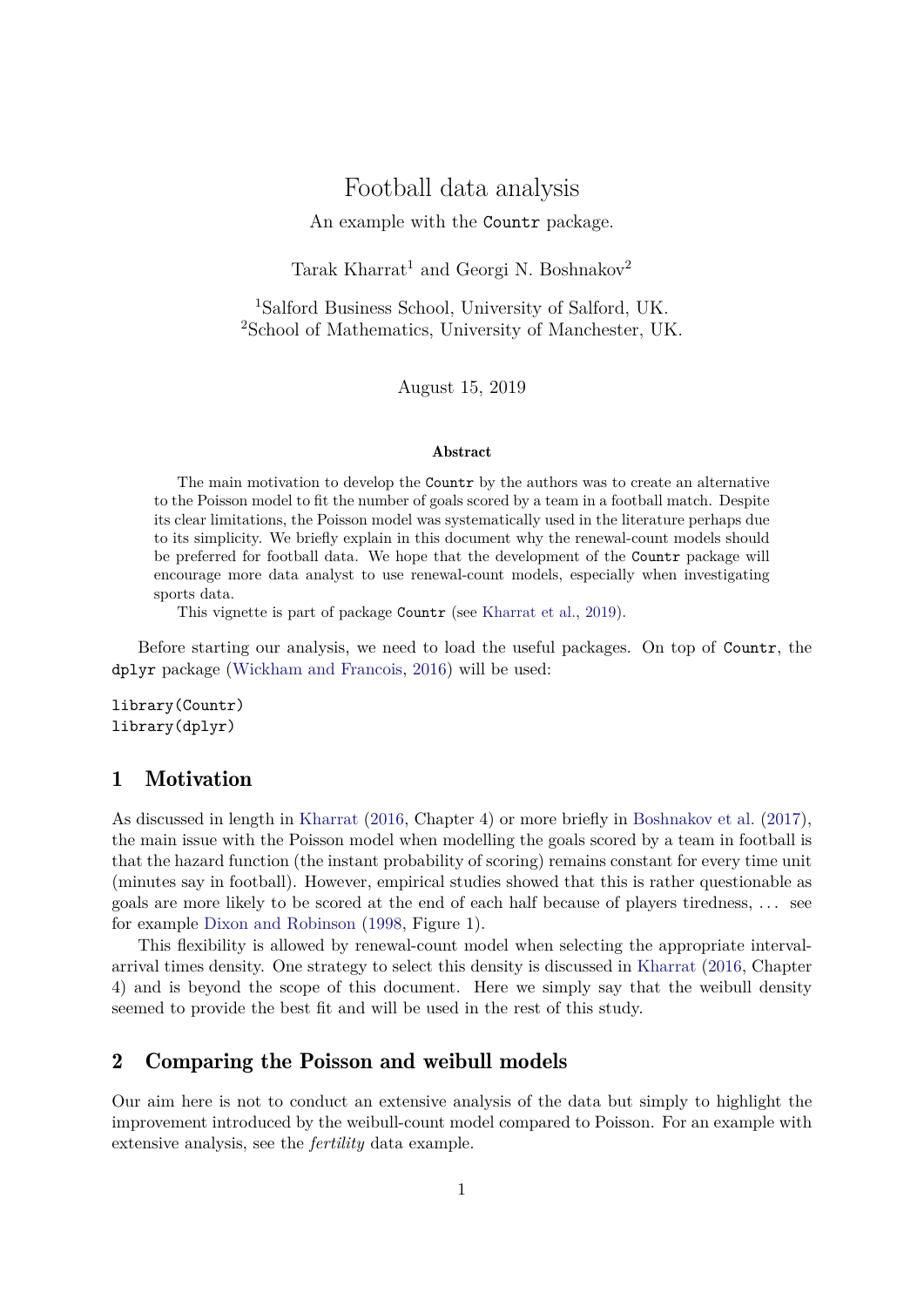# Football data analysis

#### An example with the Countr package.

Tarak Kharrat<sup>1</sup> and Georgi N. Boshnakov<sup>2</sup>

<sup>1</sup>Salford Business School, University of Salford, UK. <sup>2</sup>School of Mathematics, University of Manchester, UK.

August 15, 2019

#### Abstract

The main motivation to develop the Countr by the authors was to create an alternative to the Poisson model to fit the number of goals scored by a team in a football match. Despite its clear limitations, the Poisson model was systematically used in the literature perhaps due to its simplicity. We briefly explain in this document why the renewal-count models should be preferred for football data. We hope that the development of the Countr package will encourage more data analyst to use renewal-count models, especially when investigating sports data.

This vignette is part of package Countr (see Kharrat et al., 2019).

Before starting our analysis, we need to load the useful packages. On top of Countr, the dplyr package (Wickham and Francois, 2016) will be used:

```
library(Countr)
library(dplyr)
```
## 1 Motivation

As discussed in length in Kharrat (2016, Chapter 4) or more briefly in Boshnakov et al. (2017), the main issue with the Poisson model when modelling the goals scored by a team in football is that the hazard function (the instant probability of scoring) remains constant for every time unit (minutes say in football). However, empirical studies showed that this is rather questionable as goals are more likely to be scored at the end of each half because of players tiredness, . . . see for example Dixon and Robinson (1998, Figure 1).

This flexibility is allowed by renewal-count model when selecting the appropriate intervalarrival times density. One strategy to select this density is discussed in Kharrat (2016, Chapter 4) and is beyond the scope of this document. Here we simply say that the weibull density seemed to provide the best fit and will be used in the rest of this study.

# 2 Comparing the Poisson and weibull models

Our aim here is not to conduct an extensive analysis of the data but simply to highlight the improvement introduced by the weibull-count model compared to Poisson. For an example with extensive analysis, see the *fertility* data example.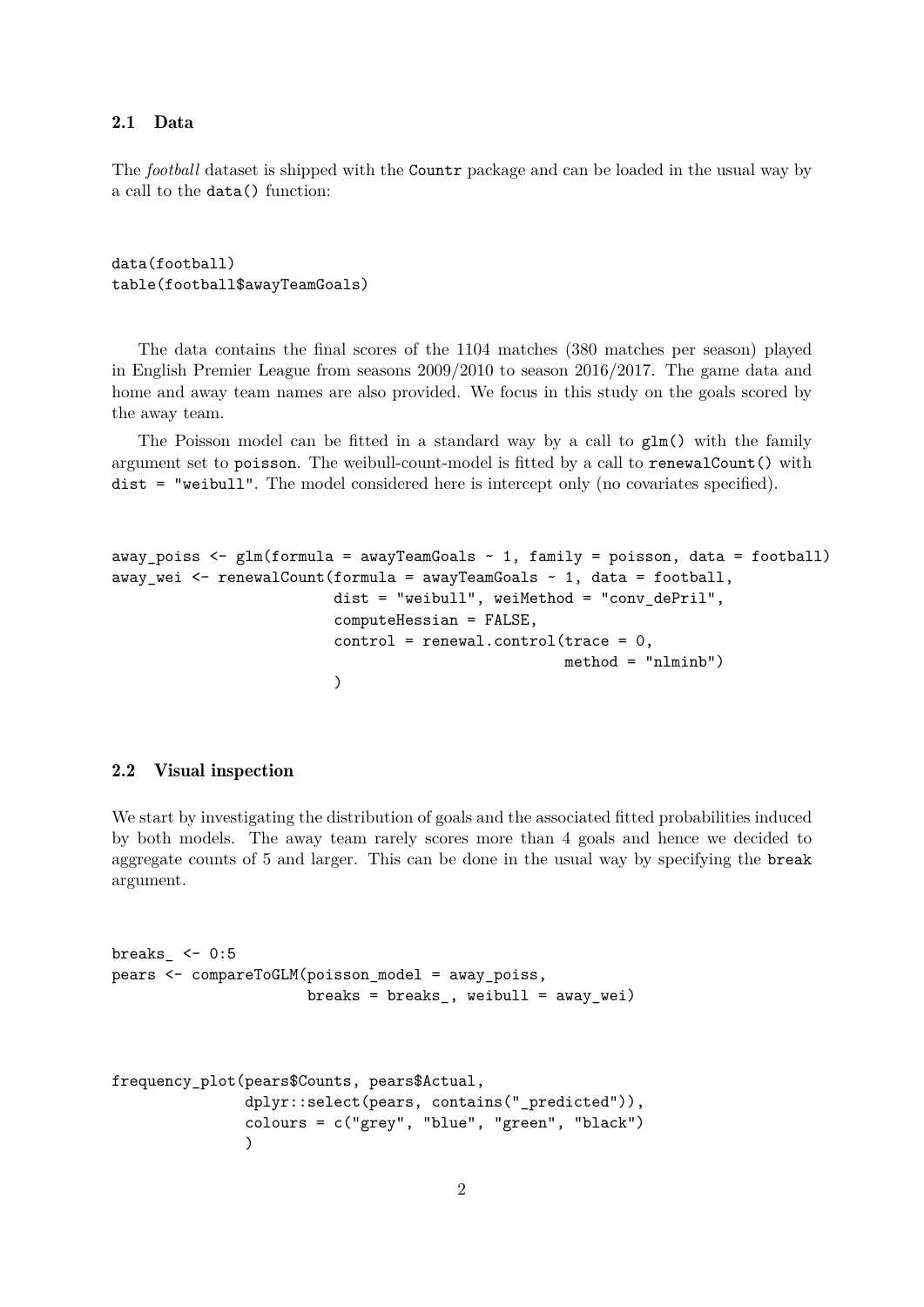### 2.1 Data

The *football* dataset is shipped with the Countr package and can be loaded in the usual way by a call to the data() function:

```
data(football)
table(football$awayTeamGoals)
```
The data contains the final scores of the 1104 matches (380 matches per season) played in English Premier League from seasons 2009/2010 to season 2016/2017. The game data and home and away team names are also provided. We focus in this study on the goals scored by the away team.

The Poisson model can be fitted in a standard way by a call to  $glm()$  with the family argument set to poisson. The weibull-count-model is fitted by a call to renewalCount() with dist = "weibull". The model considered here is intercept only (no covariates specified).

```
away_poiss \leq glm(formula = awayTeamGoals \sim 1, family = poisson, data = football)
away_wei \leq renewalCount(formula = awayTeamGoals \sim 1, data = football,
                          dist = "weibull", weiMethod = "conv_dePril",
                          computeHessian = FALSE,
                          control = renewal.control(trace = 0,method = "nlminb")
                          )
```
#### 2.2 Visual inspection

We start by investigating the distribution of goals and the associated fitted probabilities induced by both models. The away team rarely scores more than 4 goals and hence we decided to aggregate counts of 5 and larger. This can be done in the usual way by specifying the break argument.

```
breaks <-0:5pears <- compareToGLM(poisson_model = away_poiss,
                     breaks = breaks, weibull = away_wei)frequency_plot(pears$Counts, pears$Actual,
              dplyr::select(pears, contains("_predicted")),
               colours = c("grey", "blue", "green", "black")
               )
```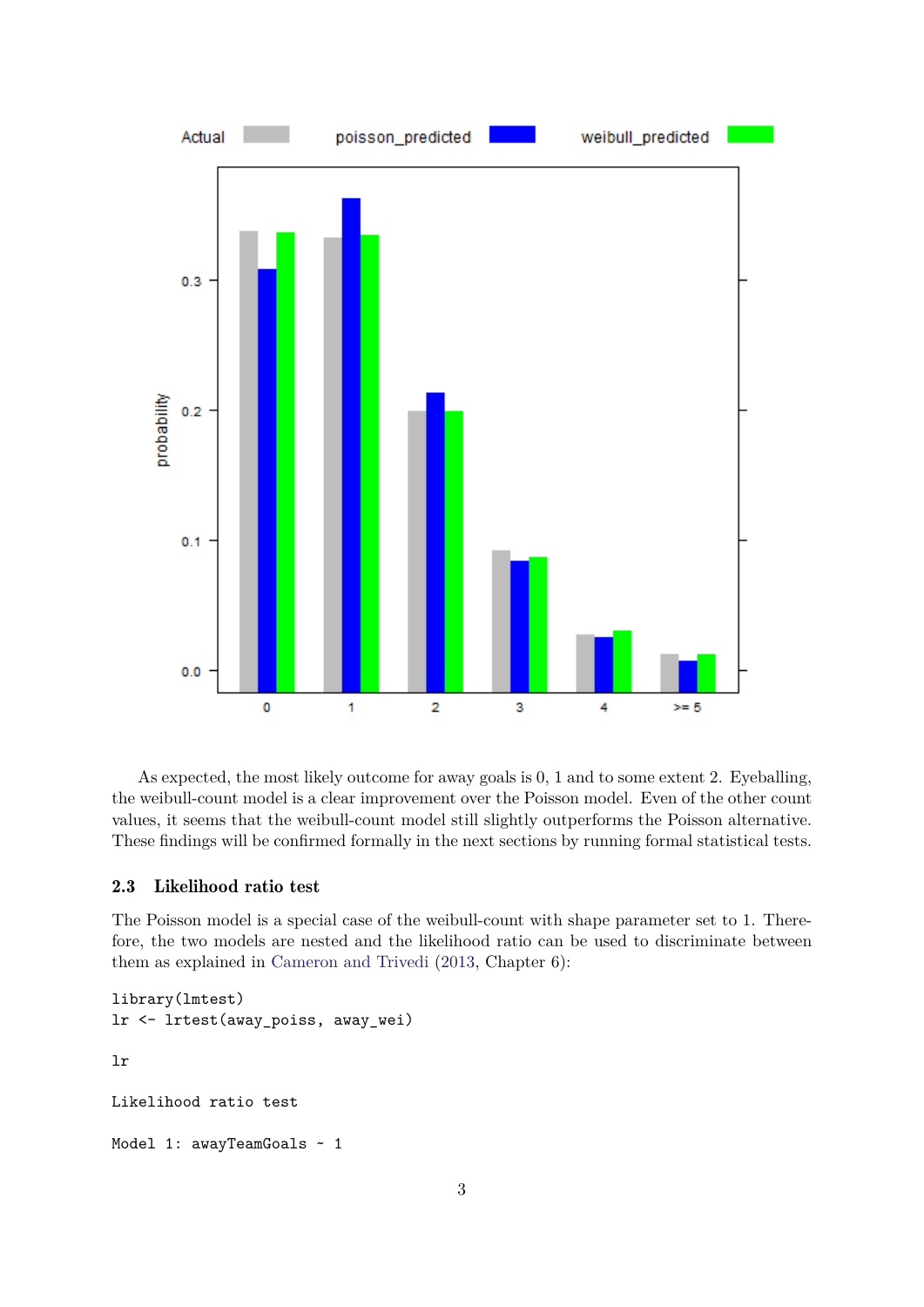

As expected, the most likely outcome for away goals is 0, 1 and to some extent 2. Eyeballing, the weibull-count model is a clear improvement over the Poisson model. Even of the other count values, it seems that the weibull-count model still slightly outperforms the Poisson alternative. These findings will be confirmed formally in the next sections by running formal statistical tests.

### 2.3 Likelihood ratio test

The Poisson model is a special case of the weibull-count with shape parameter set to 1. Therefore, the two models are nested and the likelihood ratio can be used to discriminate between them as explained in Cameron and Trivedi (2013, Chapter 6):

```
library(lmtest)
lr <- lrtest(away_poiss, away_wei)
lr
Likelihood ratio test
Model 1: awayTeamGoals ~ 1
```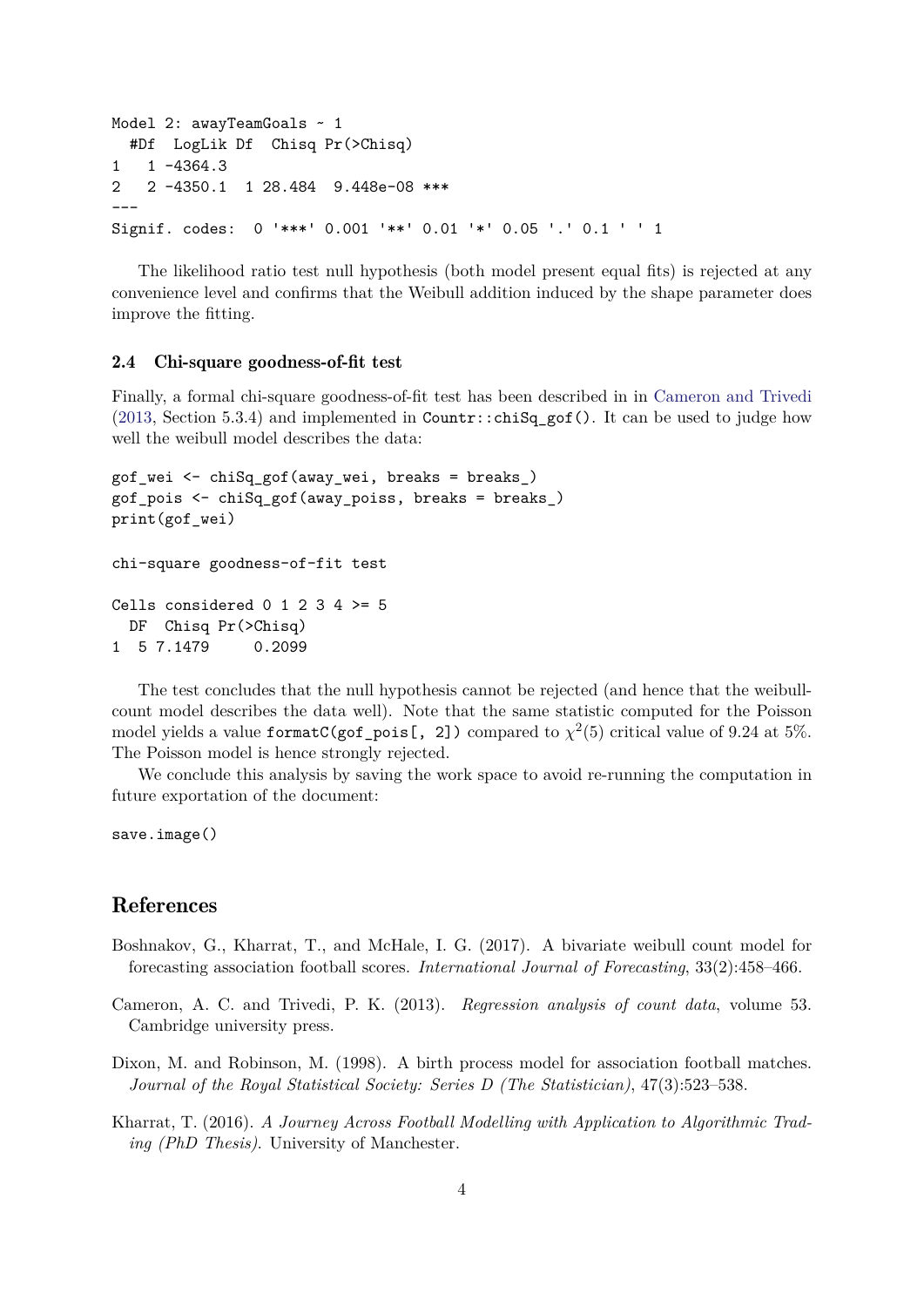```
Model 2: awayTeamGoals ~ 1
  #Df LogLik Df Chisq Pr(>Chisq)
1 \quad 1 \quad -4364.32 2 -4350.1 1 28.484 9.448e-08 ***
---
Signif. codes: 0 '***' 0.001 '**' 0.01 '*' 0.05 '.' 0.1 ' ' 1
```
The likelihood ratio test null hypothesis (both model present equal fits) is rejected at any convenience level and confirms that the Weibull addition induced by the shape parameter does improve the fitting.

#### 2.4 Chi-square goodness-of-fit test

Finally, a formal chi-square goodness-of-fit test has been described in in Cameron and Trivedi (2013, Section 5.3.4) and implemented in Countr::chiSq gof(). It can be used to judge how well the weibull model describes the data:

```
gof wei \leq chiSq gof(away wei, breaks = breaks)
gof_pois <- chiSq_gof(away_poiss, breaks = breaks_)
print(gof_wei)
chi-square goodness-of-fit test
Cells considered 0 1 2 3 4 >= 5
 DF Chisq Pr(>Chisq)
1 5 7.1479 0.2099
```
The test concludes that the null hypothesis cannot be rejected (and hence that the weibullcount model describes the data well). Note that the same statistic computed for the Poisson model yields a value  $formatC(gof\_pois[$ , 2]  $)$  compared to  $\chi^2(5)$  critical value of 9.24 at 5%. The Poisson model is hence strongly rejected.

We conclude this analysis by saving the work space to avoid re-running the computation in future exportation of the document:

```
save.image()
```
## References

- Boshnakov, G., Kharrat, T., and McHale, I. G. (2017). A bivariate weibull count model for forecasting association football scores. *International Journal of Forecasting*, 33(2):458–466.
- Cameron, A. C. and Trivedi, P. K. (2013). *Regression analysis of count data*, volume 53. Cambridge university press.
- Dixon, M. and Robinson, M. (1998). A birth process model for association football matches. *Journal of the Royal Statistical Society: Series D (The Statistician)*, 47(3):523–538.
- Kharrat, T. (2016). *A Journey Across Football Modelling with Application to Algorithmic Trading (PhD Thesis)*. University of Manchester.